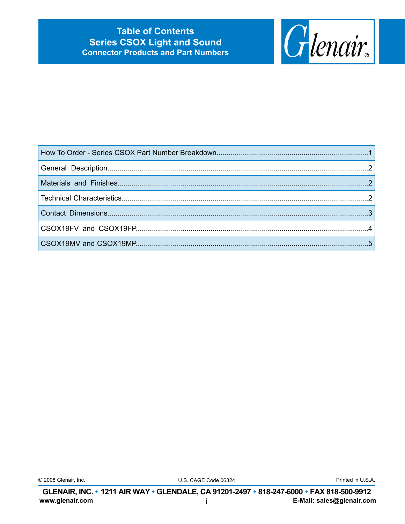

U.S. CAGE Code 06324 © 2008 Glenair, Inc. Printed in U.S.A.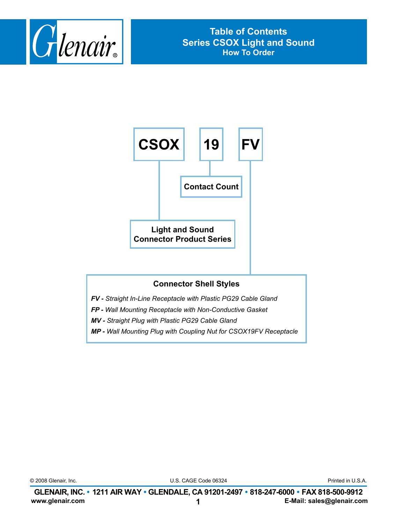



### **Connector Shell Styles**

*FV - Straight In-Line Receptacle with Plastic PG29 Cable Gland*

*FP - Wall Mounting Receptacle with Non-Conductive Gasket*

*MV - Straight Plug with Plastic PG29 Cable Gland*

*MP - Wall Mounting Plug with Coupling Nut for CSOX19FV Receptacle*

U.S. CAGE Code 06324 © 2008 Glenair, Inc. Printed in U.S.A.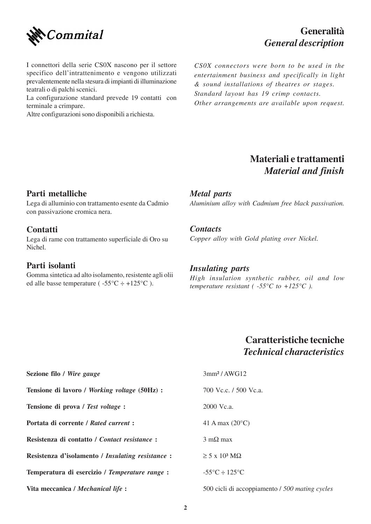

**Generalità** *General description*

I connettori della serie CS0X nascono per il settore specifico dell'intrattenimento e vengono utilizzati prevalentemente nella stesura di impianti di illuminazione teatrali o di palchi scenici.

La configurazione standard prevede 19 contatti con terminale a crimpare.

Altre configurazioni sono disponibili a richiesta.

*CS0X connectors were born to be used in the entertainment business and specifically in light & sound installations of theatres or stages. Standard layout has 19 crimp contacts. Other arrangements are available upon request.*

## **Materiali e trattamenti** *Material and finish*

#### **Parti metalliche**

Lega di alluminio con trattamento esente da Cadmio con passivazione cromica nera.

### **Contatti**

Lega di rame con trattamento superficiale di Oro su Nichel.

#### **Parti isolanti**

Gomma sintetica ad alto isolamento, resistente agli olii ed alle basse temperature ( $-55^{\circ}$ C  $\div$  +125<sup>°</sup>C ).

### *Metal parts*

*Aluminium alloy with Cadmium free black passivation.*

*Contacts*

*Copper alloy with Gold plating over Nickel.*

#### *Insulating parts*

*High insulation synthetic rubber, oil and low temperature resistant ( -55°C to +125°C ).*

### **Caratteristiche tecniche** *Technical characteristics*

| Sezione filo / Wire gauge                         | 3mm <sup>2</sup> /AWG12                        |
|---------------------------------------------------|------------------------------------------------|
| Tensione di lavoro / Working voltage (50Hz) :     | 700 Vc.c. / 500 Vc.a.                          |
| Tensione di prova / Test voltage :                | 2000 Vc.a.                                     |
| Portata di corrente / Rated current :             | 41 A max $(20^{\circ}C)$                       |
| Resistenza di contatto / Contact resistance :     | $3 \text{ mA}$ max                             |
| Resistenza d'isolamento / Insulating resistance : | $\geq$ 5 x 10 <sup>3</sup> M $\Omega$          |
| Temperatura di esercizio / Temperature range :    | $-55^{\circ}$ C $\div 125^{\circ}$ C           |
| Vita meccanica / Mechanical life :                | 500 cicli di accoppiamento / 500 mating cycles |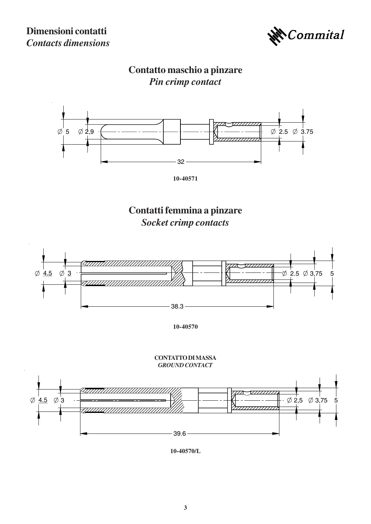

## **Contatto maschio a pinzare** *Pin crimp contact*



**10-40571**

## **Contatti femmina a pinzare** *Socket crimp contacts*



**10-40570**

**CONTATTO DI MASSA** *GROUND CONTACT*



**10-40570/L**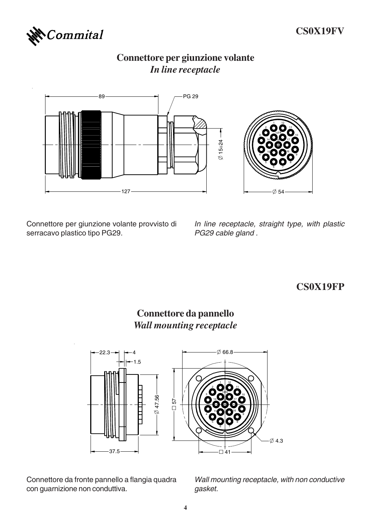



**Connettore per giunzione volante** *In line receptacle*

Connettore per giunzione volante provvisto di serracavo plastico tipo PG29.

*In line receptacle, straight type, with plastic PG29 cable gland .*

**CS0X19FP**



**Connettore da pannello** *Wall mounting receptacle*

Connettore da fronte pannello a flangia quadra con guarnizione non conduttiva.

*Wall mounting receptacle, with non conductive gasket.*